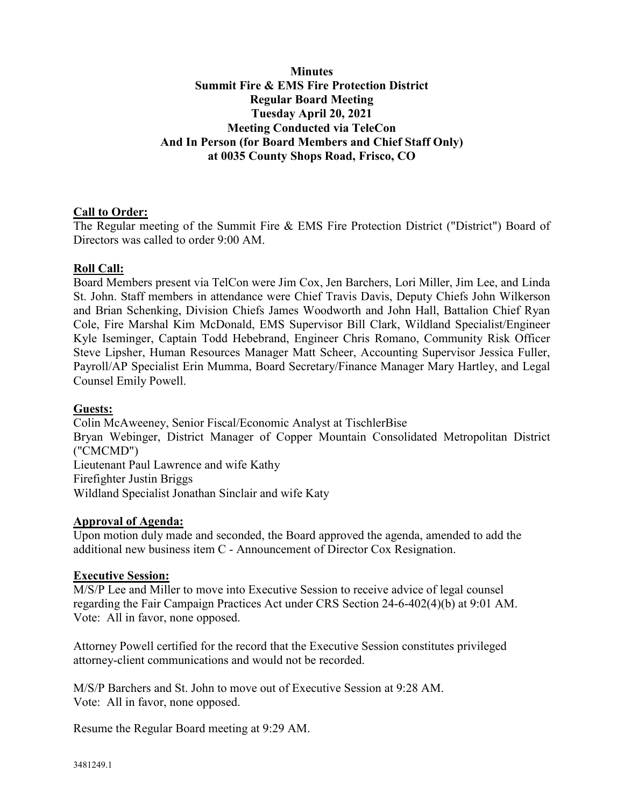# **Minutes Summit Fire & EMS Fire Protection District Regular Board Meeting Tuesday April 20, 2021 Meeting Conducted via TeleCon And In Person (for Board Members and Chief Staff Only) at 0035 County Shops Road, Frisco, CO**

# **Call to Order:**

The Regular meeting of the Summit Fire & EMS Fire Protection District ("District") Board of Directors was called to order 9:00 AM.

### **Roll Call:**

Board Members present via TelCon were Jim Cox, Jen Barchers, Lori Miller, Jim Lee, and Linda St. John. Staff members in attendance were Chief Travis Davis, Deputy Chiefs John Wilkerson and Brian Schenking, Division Chiefs James Woodworth and John Hall, Battalion Chief Ryan Cole, Fire Marshal Kim McDonald, EMS Supervisor Bill Clark, Wildland Specialist/Engineer Kyle Iseminger, Captain Todd Hebebrand, Engineer Chris Romano, Community Risk Officer Steve Lipsher, Human Resources Manager Matt Scheer, Accounting Supervisor Jessica Fuller, Payroll/AP Specialist Erin Mumma, Board Secretary/Finance Manager Mary Hartley, and Legal Counsel Emily Powell.

### **Guests:**

Colin McAweeney, Senior Fiscal/Economic Analyst at TischlerBise Bryan Webinger, District Manager of Copper Mountain Consolidated Metropolitan District ("CMCMD") Lieutenant Paul Lawrence and wife Kathy Firefighter Justin Briggs Wildland Specialist Jonathan Sinclair and wife Katy

### **Approval of Agenda:**

Upon motion duly made and seconded, the Board approved the agenda, amended to add the additional new business item C - Announcement of Director Cox Resignation.

### **Executive Session:**

M/S/P Lee and Miller to move into Executive Session to receive advice of legal counsel regarding the Fair Campaign Practices Act under CRS Section 24-6-402(4)(b) at 9:01 AM. Vote: All in favor, none opposed.

Attorney Powell certified for the record that the Executive Session constitutes privileged attorney-client communications and would not be recorded.

M/S/P Barchers and St. John to move out of Executive Session at 9:28 AM. Vote: All in favor, none opposed.

Resume the Regular Board meeting at 9:29 AM.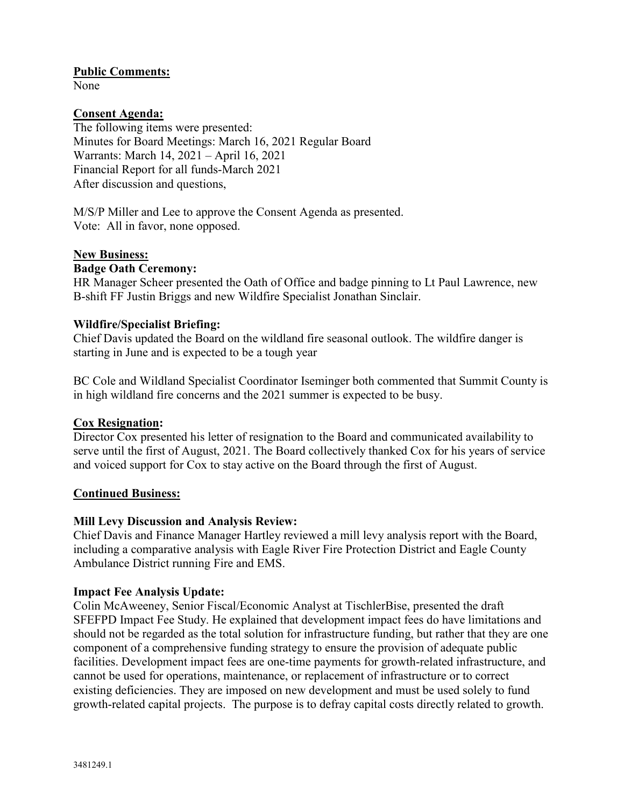### **Public Comments:**

None

# **Consent Agenda:**

The following items were presented: Minutes for Board Meetings: March 16, 2021 Regular Board Warrants: March 14, 2021 – April 16, 2021 Financial Report for all funds-March 2021 After discussion and questions,

M/S/P Miller and Lee to approve the Consent Agenda as presented. Vote: All in favor, none opposed.

#### **New Business:**

#### **Badge Oath Ceremony:**

HR Manager Scheer presented the Oath of Office and badge pinning to Lt Paul Lawrence, new B-shift FF Justin Briggs and new Wildfire Specialist Jonathan Sinclair.

#### **Wildfire/Specialist Briefing:**

Chief Davis updated the Board on the wildland fire seasonal outlook. The wildfire danger is starting in June and is expected to be a tough year

BC Cole and Wildland Specialist Coordinator Iseminger both commented that Summit County is in high wildland fire concerns and the 2021 summer is expected to be busy.

### **Cox Resignation:**

Director Cox presented his letter of resignation to the Board and communicated availability to serve until the first of August, 2021. The Board collectively thanked Cox for his years of service and voiced support for Cox to stay active on the Board through the first of August.

#### **Continued Business:**

### **Mill Levy Discussion and Analysis Review:**

Chief Davis and Finance Manager Hartley reviewed a mill levy analysis report with the Board, including a comparative analysis with Eagle River Fire Protection District and Eagle County Ambulance District running Fire and EMS.

### **Impact Fee Analysis Update:**

Colin McAweeney, Senior Fiscal/Economic Analyst at TischlerBise, presented the draft SFEFPD Impact Fee Study. He explained that development impact fees do have limitations and should not be regarded as the total solution for infrastructure funding, but rather that they are one component of a comprehensive funding strategy to ensure the provision of adequate public facilities. Development impact fees are one-time payments for growth-related infrastructure, and cannot be used for operations, maintenance, or replacement of infrastructure or to correct existing deficiencies. They are imposed on new development and must be used solely to fund growth-related capital projects. The purpose is to defray capital costs directly related to growth.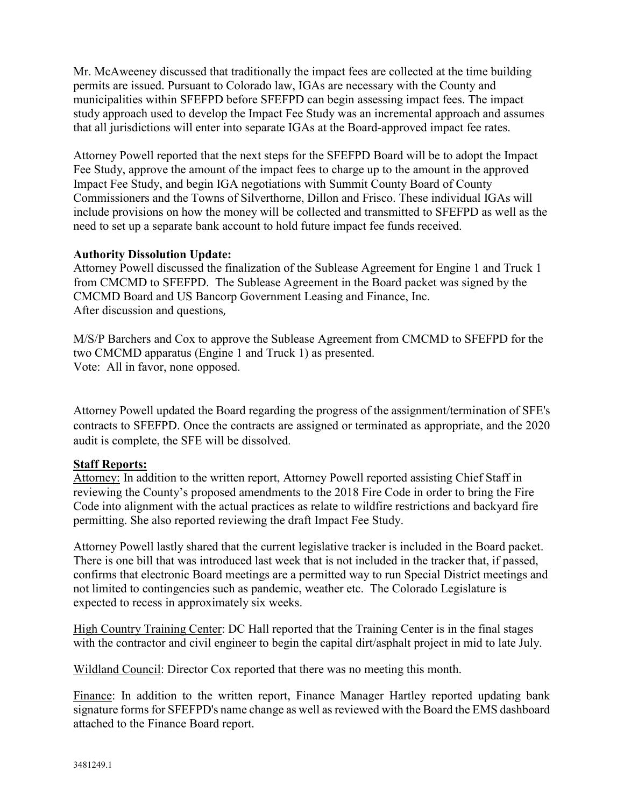Mr. McAweeney discussed that traditionally the impact fees are collected at the time building permits are issued. Pursuant to Colorado law, IGAs are necessary with the County and municipalities within SFEFPD before SFEFPD can begin assessing impact fees. The impact study approach used to develop the Impact Fee Study was an incremental approach and assumes that all jurisdictions will enter into separate IGAs at the Board-approved impact fee rates.

Attorney Powell reported that the next steps for the SFEFPD Board will be to adopt the Impact Fee Study, approve the amount of the impact fees to charge up to the amount in the approved Impact Fee Study, and begin IGA negotiations with Summit County Board of County Commissioners and the Towns of Silverthorne, Dillon and Frisco. These individual IGAs will include provisions on how the money will be collected and transmitted to SFEFPD as well as the need to set up a separate bank account to hold future impact fee funds received.

### **Authority Dissolution Update:**

Attorney Powell discussed the finalization of the Sublease Agreement for Engine 1 and Truck 1 from CMCMD to SFEFPD. The Sublease Agreement in the Board packet was signed by the CMCMD Board and US Bancorp Government Leasing and Finance, Inc. After discussion and questions,

M/S/P Barchers and Cox to approve the Sublease Agreement from CMCMD to SFEFPD for the two CMCMD apparatus (Engine 1 and Truck 1) as presented. Vote: All in favor, none opposed.

Attorney Powell updated the Board regarding the progress of the assignment/termination of SFE's contracts to SFEFPD. Once the contracts are assigned or terminated as appropriate, and the 2020 audit is complete, the SFE will be dissolved.

# **Staff Reports:**

Attorney: In addition to the written report, Attorney Powell reported assisting Chief Staff in reviewing the County's proposed amendments to the 2018 Fire Code in order to bring the Fire Code into alignment with the actual practices as relate to wildfire restrictions and backyard fire permitting. She also reported reviewing the draft Impact Fee Study.

Attorney Powell lastly shared that the current legislative tracker is included in the Board packet. There is one bill that was introduced last week that is not included in the tracker that, if passed, confirms that electronic Board meetings are a permitted way to run Special District meetings and not limited to contingencies such as pandemic, weather etc. The Colorado Legislature is expected to recess in approximately six weeks.

High Country Training Center: DC Hall reported that the Training Center is in the final stages with the contractor and civil engineer to begin the capital dirt/asphalt project in mid to late July.

Wildland Council: Director Cox reported that there was no meeting this month.

Finance: In addition to the written report, Finance Manager Hartley reported updating bank signature forms for SFEFPD's name change as well as reviewed with the Board the EMS dashboard attached to the Finance Board report.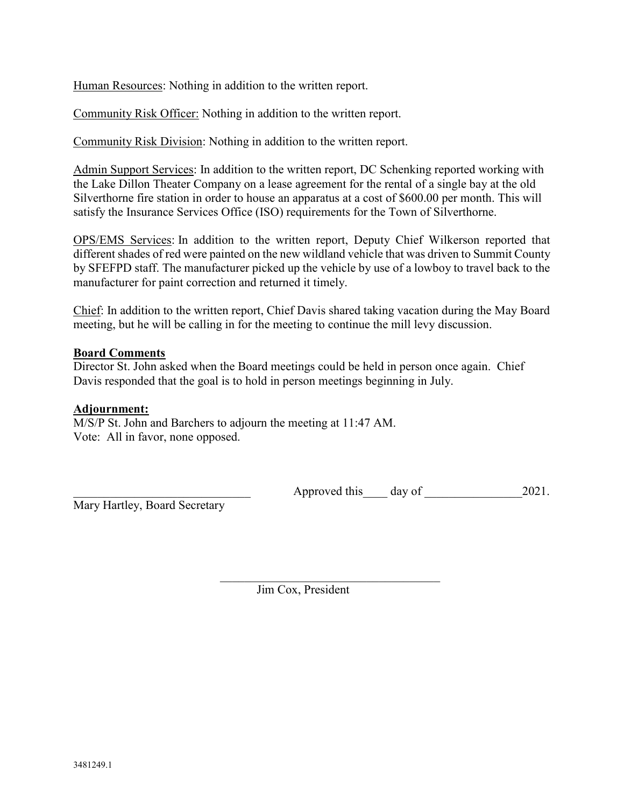Human Resources: Nothing in addition to the written report.

Community Risk Officer: Nothing in addition to the written report.

Community Risk Division: Nothing in addition to the written report.

Admin Support Services: In addition to the written report, DC Schenking reported working with the Lake Dillon Theater Company on a lease agreement for the rental of a single bay at the old Silverthorne fire station in order to house an apparatus at a cost of \$600.00 per month. This will satisfy the Insurance Services Office (ISO) requirements for the Town of Silverthorne.

OPS/EMS Services: In addition to the written report, Deputy Chief Wilkerson reported that different shades of red were painted on the new wildland vehicle that was driven to Summit County by SFEFPD staff. The manufacturer picked up the vehicle by use of a lowboy to travel back to the manufacturer for paint correction and returned it timely.

Chief: In addition to the written report, Chief Davis shared taking vacation during the May Board meeting, but he will be calling in for the meeting to continue the mill levy discussion.

#### **Board Comments**

Director St. John asked when the Board meetings could be held in person once again. Chief Davis responded that the goal is to hold in person meetings beginning in July.

### **Adjournment:**

M/S/P St. John and Barchers to adjourn the meeting at 11:47 AM. Vote: All in favor, none opposed.

Mary Hartley, Board Secretary

Approved this day of  $2021$ .

Jim Cox, President